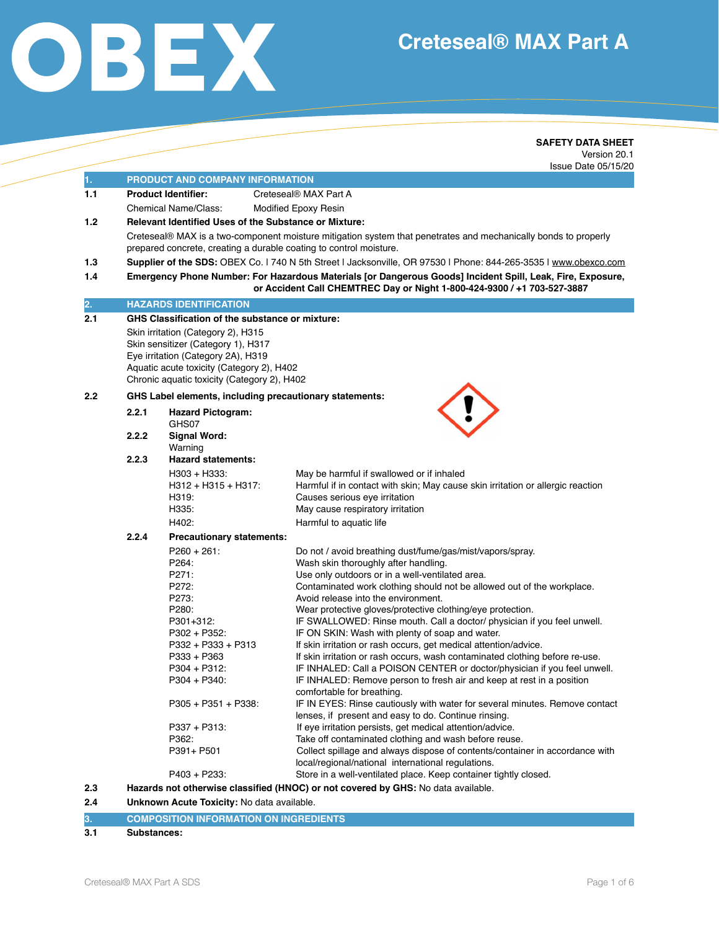# **Creteseal® MAX Part A**



### **SAFETY DATA SHEET** Version 20.1 Issue Date 05/15/20

| 1.                                                                       | <b>PRODUCT AND COMPANY INFORMATION</b>                                                                          |                                                                    |                                                                                                                                       |  |
|--------------------------------------------------------------------------|-----------------------------------------------------------------------------------------------------------------|--------------------------------------------------------------------|---------------------------------------------------------------------------------------------------------------------------------------|--|
| 1.1                                                                      |                                                                                                                 | <b>Product Identifier:</b>                                         | Creteseal <sup>®</sup> MAX Part A                                                                                                     |  |
|                                                                          |                                                                                                                 | Chemical Name/Class:                                               | <b>Modified Epoxy Resin</b>                                                                                                           |  |
| 1.2                                                                      | <b>Relevant Identified Uses of the Substance or Mixture:</b>                                                    |                                                                    |                                                                                                                                       |  |
|                                                                          | Creteseal® MAX is a two-component moisture mitigation system that penetrates and mechanically bonds to properly |                                                                    |                                                                                                                                       |  |
|                                                                          |                                                                                                                 | prepared concrete, creating a durable coating to control moisture. |                                                                                                                                       |  |
| 1.3                                                                      |                                                                                                                 |                                                                    | Supplier of the SDS: OBEX Co. 1740 N 5th Street   Jacksonville, OR 97530   Phone: 844-265-3535   www.obexco.com                       |  |
| 1.4                                                                      |                                                                                                                 |                                                                    | Emergency Phone Number: For Hazardous Materials [or Dangerous Goods] Incident Spill, Leak, Fire, Exposure,                            |  |
|                                                                          |                                                                                                                 |                                                                    | or Accident Call CHEMTREC Day or Night 1-800-424-9300 / +1 703-527-3887                                                               |  |
| 2.                                                                       |                                                                                                                 | <b>HAZARDS IDENTIFICATION</b>                                      |                                                                                                                                       |  |
| 2.1                                                                      | GHS Classification of the substance or mixture:                                                                 |                                                                    |                                                                                                                                       |  |
| Skin irritation (Category 2), H315<br>Skin sensitizer (Category 1), H317 |                                                                                                                 |                                                                    |                                                                                                                                       |  |
|                                                                          |                                                                                                                 | Eye irritation (Category 2A), H319                                 |                                                                                                                                       |  |
|                                                                          |                                                                                                                 | Aquatic acute toxicity (Category 2), H402                          |                                                                                                                                       |  |
|                                                                          |                                                                                                                 | Chronic aquatic toxicity (Category 2), H402                        |                                                                                                                                       |  |
| $2.2\,$                                                                  |                                                                                                                 | GHS Label elements, including precautionary statements:            |                                                                                                                                       |  |
|                                                                          | 2.2.1                                                                                                           | <b>Hazard Pictogram:</b>                                           |                                                                                                                                       |  |
|                                                                          |                                                                                                                 | GHS07                                                              |                                                                                                                                       |  |
|                                                                          | 2.2.2                                                                                                           | <b>Signal Word:</b>                                                |                                                                                                                                       |  |
|                                                                          | 2.2.3                                                                                                           | Warning<br><b>Hazard statements:</b>                               |                                                                                                                                       |  |
|                                                                          |                                                                                                                 | H303 + H333:                                                       | May be harmful if swallowed or if inhaled                                                                                             |  |
|                                                                          |                                                                                                                 | $H312 + H315 + H317$ :                                             | Harmful if in contact with skin; May cause skin irritation or allergic reaction                                                       |  |
|                                                                          |                                                                                                                 | H319:                                                              | Causes serious eye irritation                                                                                                         |  |
|                                                                          |                                                                                                                 | H335:                                                              | May cause respiratory irritation                                                                                                      |  |
|                                                                          |                                                                                                                 | H402:                                                              | Harmful to aquatic life                                                                                                               |  |
|                                                                          | 2.2.4                                                                                                           | Precautionary statements:                                          |                                                                                                                                       |  |
|                                                                          |                                                                                                                 | $P260 + 261$ :                                                     | Do not / avoid breathing dust/fume/gas/mist/vapors/spray.                                                                             |  |
|                                                                          |                                                                                                                 | P264:                                                              | Wash skin thoroughly after handling.                                                                                                  |  |
|                                                                          |                                                                                                                 | P271:                                                              | Use only outdoors or in a well-ventilated area.                                                                                       |  |
|                                                                          |                                                                                                                 | P272:                                                              | Contaminated work clothing should not be allowed out of the workplace.                                                                |  |
|                                                                          |                                                                                                                 | P273:                                                              | Avoid release into the environment.                                                                                                   |  |
|                                                                          |                                                                                                                 | P280:<br>P301+312:                                                 | Wear protective gloves/protective clothing/eye protection.<br>IF SWALLOWED: Rinse mouth. Call a doctor/ physician if you feel unwell. |  |
|                                                                          |                                                                                                                 | P302 + P352:                                                       | IF ON SKIN: Wash with plenty of soap and water.                                                                                       |  |
|                                                                          |                                                                                                                 | P332 + P333 + P313                                                 | If skin irritation or rash occurs, get medical attention/advice.                                                                      |  |
|                                                                          |                                                                                                                 | P333 + P363                                                        | If skin irritation or rash occurs, wash contaminated clothing before re-use.                                                          |  |
|                                                                          |                                                                                                                 | P304 + P312:                                                       | IF INHALED: Call a POISON CENTER or doctor/physician if you feel unwell.                                                              |  |
|                                                                          |                                                                                                                 | P304 + P340:                                                       | IF INHALED: Remove person to fresh air and keep at rest in a position                                                                 |  |
|                                                                          |                                                                                                                 | $P305 + P351 + P338$ :                                             | comfortable for breathing.<br>IF IN EYES: Rinse cautiously with water for several minutes. Remove contact                             |  |
|                                                                          |                                                                                                                 |                                                                    | lenses, if present and easy to do. Continue rinsing.                                                                                  |  |
|                                                                          |                                                                                                                 | P337 + P313:                                                       | If eye irritation persists, get medical attention/advice.                                                                             |  |
|                                                                          |                                                                                                                 | P362:                                                              | Take off contaminated clothing and wash before reuse.                                                                                 |  |
|                                                                          |                                                                                                                 | P391+ P501                                                         | Collect spillage and always dispose of contents/container in accordance with<br>local/regional/national international regulations.    |  |
|                                                                          |                                                                                                                 | P403 + P233:                                                       | Store in a well-ventilated place. Keep container tightly closed.                                                                      |  |
| 2.3                                                                      |                                                                                                                 |                                                                    | Hazards not otherwise classified (HNOC) or not covered by GHS: No data available.                                                     |  |
|                                                                          |                                                                                                                 |                                                                    |                                                                                                                                       |  |

**2.4 Unknown Acute Toxicity:** No data available.

|  | 13. | <b>COMPOSITION INFORMATION ON INGREDIENTS</b> |
|--|-----|-----------------------------------------------|
|--|-----|-----------------------------------------------|

# **3.1 Substances:**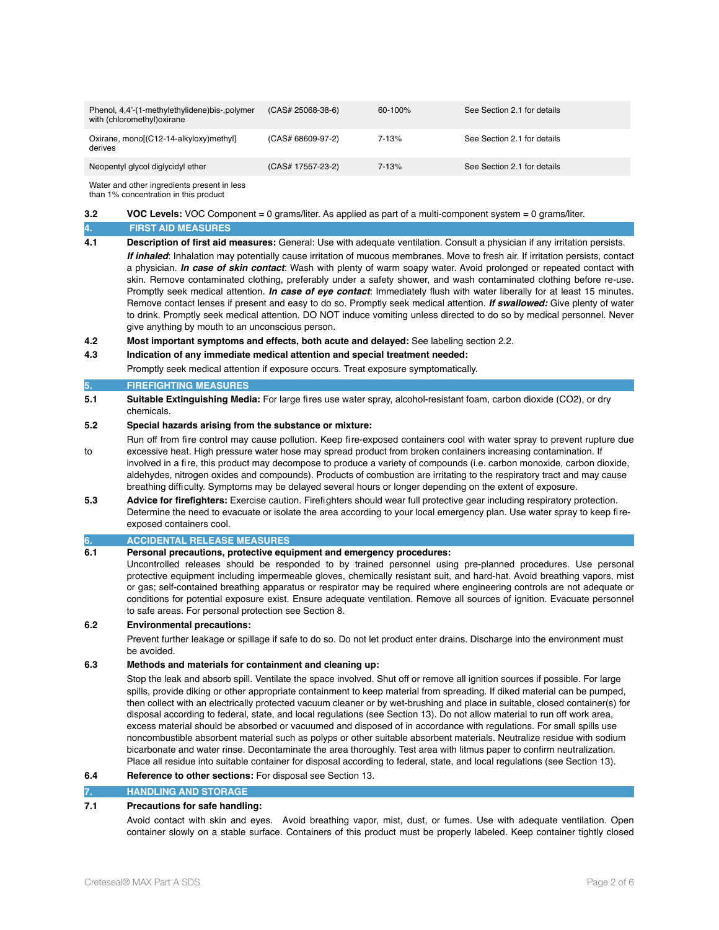| Phenol, 4,4'-(1-methylethylidene)bis-,polymer<br>with (chloromethyl) oxirane | $(CAS# 25068-38-6)$ | $60 - 100\%$ | See Section 2.1 for details |
|------------------------------------------------------------------------------|---------------------|--------------|-----------------------------|
| Oxirane, mono[(C12-14-alkyloxy)methyl]<br>derives                            | $(CAS# 68609-97-2)$ | 7-13%        | See Section 2.1 for details |
| Neopentyl glycol diglycidyl ether                                            | (CAS# 17557-23-2)   | $7 - 13%$    | See Section 2.1 for details |

Water and other ingredients present in less than 1% concentration in this product

# **3.2 VOC Levels:** VOC Component = 0 grams/liter. As applied as part of a multi-component system = 0 grams/liter.

# **4. FIRST AID MEASURES**

**4.1 Description of first aid measures:** General: Use with adequate ventilation. Consult a physician if any irritation persists.

*If inhaled*: Inhalation may potentially cause irritation of mucous membranes. Move to fresh air. If irritation persists, contact a physician. *In case of skin contact*: Wash with plenty of warm soapy water. Avoid prolonged or repeated contact with skin. Remove contaminated clothing, preferably under a safety shower, and wash contaminated clothing before re-use. Promptly seek medical attention. *In case of eye contact*: Immediately flush with water liberally for at least 15 minutes. Remove contact lenses if present and easy to do so. Promptly seek medical attention. *If swallowed:* Give plenty of water to drink. Promptly seek medical attention. DO NOT induce vomiting unless directed to do so by medical personnel. Never give anything by mouth to an unconscious person.

**4.2 Most important symptoms and effects, both acute and delayed:** See labeling section 2.2.

#### **4.3 Indication of any immediate medical attention and special treatment needed:**

Promptly seek medical attention if exposure occurs. Treat exposure symptomatically.

#### **5. FIREFIGHTING MEASURES**

**5.1 Suitable Extinguishing Media:** For large fires use water spray, alcohol-resistant foam, carbon dioxide (CO2), or dry chemicals.

# **5.2 Special hazards arising from the substance or mixture:**

- Run off from fire control may cause pollution. Keep fire-exposed containers cool with water spray to prevent rupture due to excessive heat. High pressure water hose may spread product from broken containers increasing contamination. If involved in a fire, this product may decompose to produce a variety of compounds (i.e. carbon monoxide, carbon dioxide, aldehydes, nitrogen oxides and compounds). Products of combustion are irritating to the respiratory tract and may cause breathing difficulty. Symptoms may be delayed several hours or longer depending on the extent of exposure.
- **5.3 Advice for firefighters:** Exercise caution. Firefighters should wear full protective gear including respiratory protection. Determine the need to evacuate or isolate the area according to your local emergency plan. Use water spray to keep fireexposed containers cool.

# **6. ACCIDENTAL RELEASE MEASURES**

#### **6.1 Personal precautions, protective equipment and emergency procedures:**

Uncontrolled releases should be responded to by trained personnel using pre-planned procedures. Use personal protective equipment including impermeable gloves, chemically resistant suit, and hard-hat. Avoid breathing vapors, mist or gas; self-contained breathing apparatus or respirator may be required where engineering controls are not adequate or conditions for potential exposure exist. Ensure adequate ventilation. Remove all sources of ignition. Evacuate personnel to safe areas. For personal protection see Section 8.

#### **6.2 Environmental precautions:**

Prevent further leakage or spillage if safe to do so. Do not let product enter drains. Discharge into the environment must be avoided.

#### **6.3 Methods and materials for containment and cleaning up:**

Stop the leak and absorb spill. Ventilate the space involved. Shut off or remove all ignition sources if possible. For large spills, provide diking or other appropriate containment to keep material from spreading. If diked material can be pumped, then collect with an electrically protected vacuum cleaner or by wet-brushing and place in suitable, closed container(s) for disposal according to federal, state, and local regulations (see Section 13). Do not allow material to run off work area, excess material should be absorbed or vacuumed and disposed of in accordance with regulations. For small spills use noncombustible absorbent material such as polyps or other suitable absorbent materials. Neutralize residue with sodium bicarbonate and water rinse. Decontaminate the area thoroughly. Test area with litmus paper to confirm neutralization. Place all residue into suitable container for disposal according to federal, state, and local regulations (see Section 13).

#### **6.4 Reference to other sections:** For disposal see Section 13.

#### **7. HANDLING AND STORAGE**

# **7.1 Precautions for safe handling:**

Avoid contact with skin and eyes. Avoid breathing vapor, mist, dust, or fumes. Use with adequate ventilation. Open container slowly on a stable surface. Containers of this product must be properly labeled. Keep container tightly closed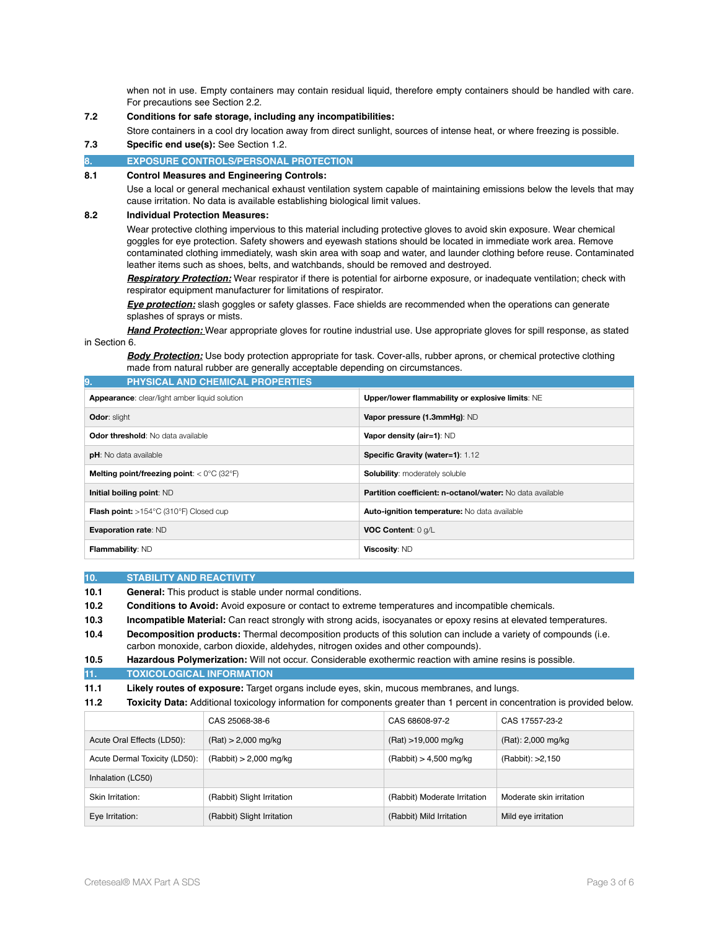when not in use. Empty containers may contain residual liquid, therefore empty containers should be handled with care. For precautions see Section 2.2.

# **7.2 Conditions for safe storage, including any incompatibilities:**

Store containers in a cool dry location away from direct sunlight, sources of intense heat, or where freezing is possible.

**7.3 Specific end use(s):** See Section 1.2.

#### **EXPOSURE CONTROLS/PERSONAL PROTECTION**

#### **8.1 Control Measures and Engineering Controls:**

Use a local or general mechanical exhaust ventilation system capable of maintaining emissions below the levels that may cause irritation. No data is available establishing biological limit values.

#### **8.2 Individual Protection Measures:**

Wear protective clothing impervious to this material including protective gloves to avoid skin exposure. Wear chemical goggles for eye protection. Safety showers and eyewash stations should be located in immediate work area. Remove contaminated clothing immediately, wash skin area with soap and water, and launder clothing before reuse. Contaminated leather items such as shoes, belts, and watchbands, should be removed and destroyed.

*Respiratory Protection:* Wear respirator if there is potential for airborne exposure, or inadequate ventilation; check with respirator equipment manufacturer for limitations of respirator.

*Eye protection:* slash goggles or safety glasses. Face shields are recommended when the operations can generate splashes of sprays or mists.

*Hand Protection:* Wear appropriate gloves for routine industrial use. Use appropriate gloves for spill response, as stated in Section 6.

*Body Protection:* Use body protection appropriate for task. Cover-alls, rubber aprons, or chemical protective clothing made from natural rubber are generally acceptable depending on circumstances.

| <b>PHYSICAL AND CHEMICAL PROPERTIES</b><br>9.                           |                                                           |  |  |  |
|-------------------------------------------------------------------------|-----------------------------------------------------------|--|--|--|
| Appearance: clear/light amber liquid solution                           | Upper/lower flammability or explosive limits: NE          |  |  |  |
| <b>Odor: slight</b>                                                     | Vapor pressure (1.3mmHg): ND                              |  |  |  |
| <b>Odor threshold:</b> No data available                                | Vapor density (air=1): ND                                 |  |  |  |
| <b>pH</b> : No data available                                           | <b>Specific Gravity (water=1): 1.12</b>                   |  |  |  |
| <b>Melting point/freezing point:</b> $<$ 0 $\degree$ C (32 $\degree$ F) | <b>Solubility:</b> moderately soluble                     |  |  |  |
| Initial boiling point: ND                                               | Partition coefficient: n-octanol/water: No data available |  |  |  |
| <b>Flash point:</b> $>154^{\circ}$ C (310 $^{\circ}$ F) Closed cup      | <b>Auto-ignition temperature:</b> No data available       |  |  |  |
| <b>Evaporation rate: ND</b>                                             | VOC Content: 0 g/L                                        |  |  |  |
| Flammability: ND                                                        | Viscosity: ND                                             |  |  |  |

#### **10. STABILITY AND REACTIVITY**

**10.1 General:** This product is stable under normal conditions.

**10.2 Conditions to Avoid:** Avoid exposure or contact to extreme temperatures and incompatible chemicals.

**10.3 Incompatible Material:** Can react strongly with strong acids, isocyanates or epoxy resins at elevated temperatures.

**10.4 Decomposition products:** Thermal decomposition products of this solution can include a variety of compounds (i.e. carbon monoxide, carbon dioxide, aldehydes, nitrogen oxides and other compounds).

```
10.5 Hazardous Polymerization: Will not occur. Considerable exothermic reaction with amine resins is possible.
```
**11. TOXICOLOGICAL INFORMATION**

**11.1 Likely routes of exposure:** Target organs include eyes, skin, mucous membranes, and lungs.

**11.2 Toxicity Data:** Additional toxicology information for components greater than 1 percent in concentration is provided below.

|                               | CAS 25068-38-6             | CAS 68608-97-2               | CAS 17557-23-2           |
|-------------------------------|----------------------------|------------------------------|--------------------------|
| Acute Oral Effects (LD50):    | $(Rat) > 2,000$ mg/kg      | (Rat) >19,000 mg/kg          | (Rat): 2,000 mg/kg       |
| Acute Dermal Toxicity (LD50): | $(Rabbit) > 2,000$ mg/kg   | $(Rabbit) > 4,500$ mg/kg     | (Rabbit): >2,150         |
| Inhalation (LC50)             |                            |                              |                          |
| Skin Irritation:              | (Rabbit) Slight Irritation | (Rabbit) Moderate Irritation | Moderate skin irritation |
| Eye Irritation:               | (Rabbit) Slight Irritation | (Rabbit) Mild Irritation     | Mild eye irritation      |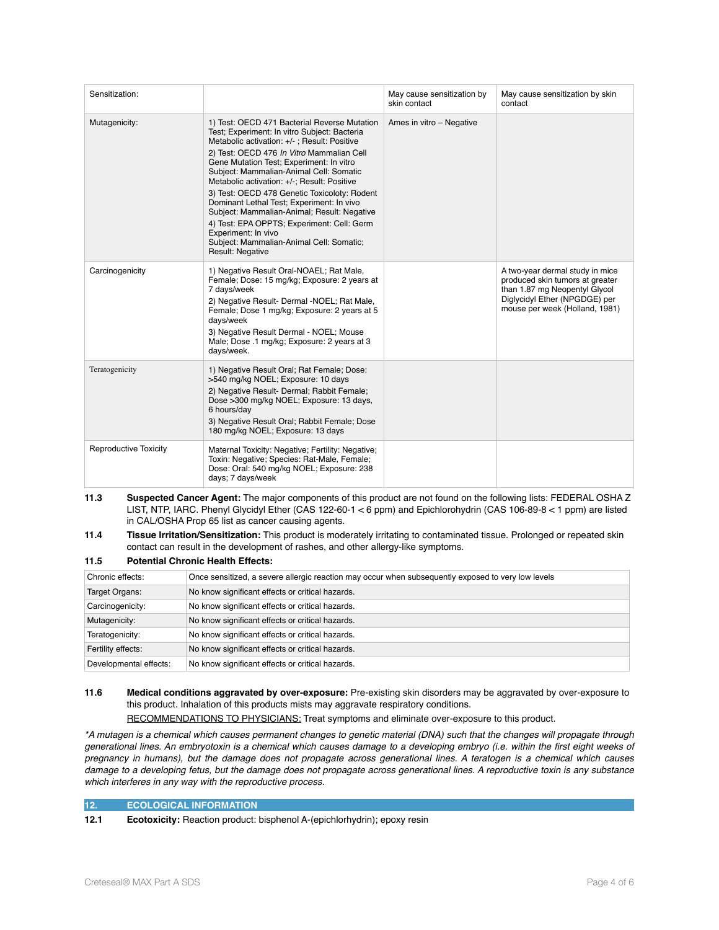| Sensitization:               |                                                                                                                                                                                                                                                                                                                                                                                                                                                                                                                                                                                                                 | May cause sensitization by<br>skin contact | May cause sensitization by skin<br>contact                                                                                                                             |
|------------------------------|-----------------------------------------------------------------------------------------------------------------------------------------------------------------------------------------------------------------------------------------------------------------------------------------------------------------------------------------------------------------------------------------------------------------------------------------------------------------------------------------------------------------------------------------------------------------------------------------------------------------|--------------------------------------------|------------------------------------------------------------------------------------------------------------------------------------------------------------------------|
| Mutagenicity:                | 1) Test: OECD 471 Bacterial Reverse Mutation<br>Test; Experiment: In vitro Subject: Bacteria<br>Metabolic activation: +/-; Result: Positive<br>2) Test: OECD 476 In Vitro Mammalian Cell<br>Gene Mutation Test; Experiment: In vitro<br>Subject: Mammalian-Animal Cell: Somatic<br>Metabolic activation: +/-; Result: Positive<br>3) Test: OECD 478 Genetic Toxicoloty: Rodent<br>Dominant Lethal Test; Experiment: In vivo<br>Subject: Mammalian-Animal; Result: Negative<br>4) Test: EPA OPPTS; Experiment: Cell: Germ<br>Experiment: In vivo<br>Subject: Mammalian-Animal Cell: Somatic;<br>Result: Negative | Ames in vitro - Negative                   |                                                                                                                                                                        |
| Carcinogenicity              | 1) Negative Result Oral-NOAEL; Rat Male,<br>Female; Dose: 15 mg/kg; Exposure: 2 years at<br>7 days/week<br>2) Negative Result- Dermal -NOEL; Rat Male,<br>Female; Dose 1 mg/kg; Exposure: 2 years at 5<br>days/week<br>3) Negative Result Dermal - NOEL; Mouse<br>Male; Dose .1 mg/kg; Exposure: 2 years at 3<br>days/week.                                                                                                                                                                                                                                                                                     |                                            | A two-year dermal study in mice<br>produced skin tumors at greater<br>than 1.87 mg Neopentyl Glycol<br>Diglycidyl Ether (NPGDGE) per<br>mouse per week (Holland, 1981) |
| Teratogenicity               | 1) Negative Result Oral; Rat Female; Dose:<br>>540 mg/kg NOEL; Exposure: 10 days<br>2) Negative Result- Dermal; Rabbit Female;<br>Dose >300 mg/kg NOEL; Exposure: 13 days,<br>6 hours/day<br>3) Negative Result Oral; Rabbit Female; Dose<br>180 mg/kg NOEL; Exposure: 13 days                                                                                                                                                                                                                                                                                                                                  |                                            |                                                                                                                                                                        |
| <b>Reproductive Toxicity</b> | Maternal Toxicity: Negative; Fertility: Negative;<br>Toxin: Negative; Species: Rat-Male, Female;<br>Dose: Oral: 540 mg/kg NOEL; Exposure: 238<br>days; 7 days/week                                                                                                                                                                                                                                                                                                                                                                                                                                              |                                            |                                                                                                                                                                        |

**11.3 Suspected Cancer Agent:** The major components of this product are not found on the following lists: FEDERAL OSHA Z LIST, NTP, IARC. Phenyl Glycidyl Ether (CAS 122-60-1 < 6 ppm) and Epichlorohydrin (CAS 106-89-8 < 1 ppm) are listed in CAL/OSHA Prop 65 list as cancer causing agents.

**11.4 Tissue Irritation/Sensitization:** This product is moderately irritating to contaminated tissue. Prolonged or repeated skin contact can result in the development of rashes, and other allergy-like symptoms.

#### **11.5 Potential Chronic Health Effects:**

| Chronic effects:       | Once sensitized, a severe allergic reaction may occur when subsequently exposed to very low levels |
|------------------------|----------------------------------------------------------------------------------------------------|
| Target Organs:         | No know significant effects or critical hazards.                                                   |
| Carcinogenicity:       | No know significant effects or critical hazards.                                                   |
| Mutagenicity:          | No know significant effects or critical hazards.                                                   |
| Teratogenicity:        | No know significant effects or critical hazards.                                                   |
| Fertility effects:     | No know significant effects or critical hazards.                                                   |
| Developmental effects: | No know significant effects or critical hazards.                                                   |

**11.6 Medical conditions aggravated by over-exposure:** Pre-existing skin disorders may be aggravated by over-exposure to this product. Inhalation of this products mists may aggravate respiratory conditions.

RECOMMENDATIONS TO PHYSICIANS: Treat symptoms and eliminate over-exposure to this product.

*\*A mutagen is a chemical which causes permanent changes to genetic material (DNA) such that the changes will propagate through generational lines. An embryotoxin is a chemical which causes damage to a developing embryo (i.e. within the first eight weeks of pregnancy in humans), but the damage does not propagate across generational lines. A teratogen is a chemical which causes damage to a developing fetus, but the damage does not propagate across generational lines. A reproductive toxin is any substance which interferes in any way with the reproductive process.* 

# **12. ECOLOGICAL INFORMATION**

**12.1 Ecotoxicity:** Reaction product: bisphenol A-(epichlorhydrin); epoxy resin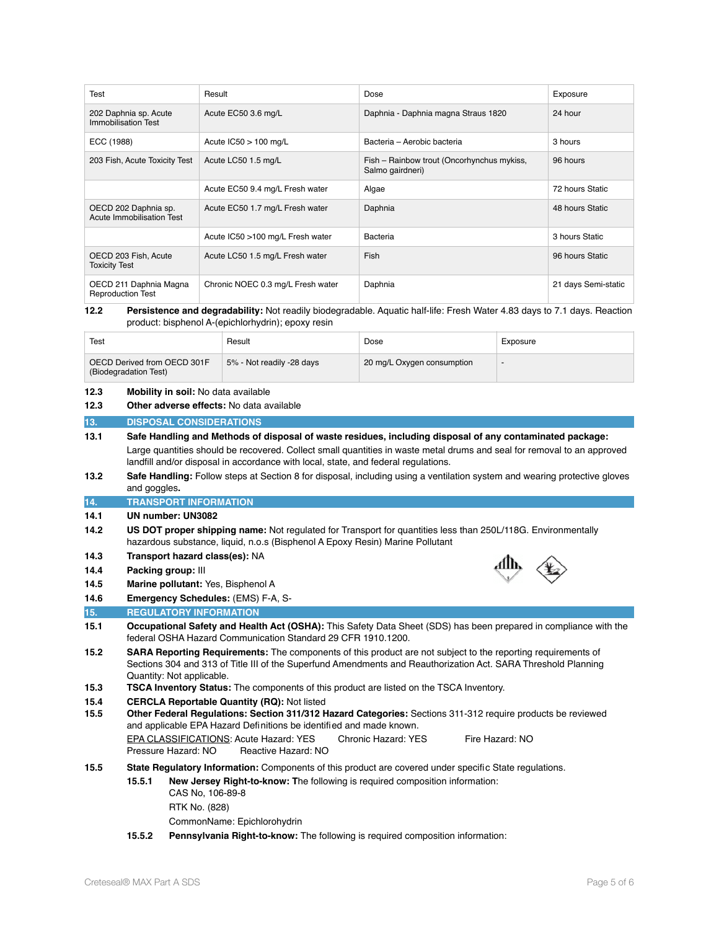| Test                                               | Result                            | Dose                                                           | Exposure            |
|----------------------------------------------------|-----------------------------------|----------------------------------------------------------------|---------------------|
| 202 Daphnia sp. Acute<br>Immobilisation Test       | Acute EC50 3.6 mg/L               | Daphnia - Daphnia magna Straus 1820                            | 24 hour             |
| ECC (1988)                                         | Acute $IC50 > 100$ mg/L           | Bacteria - Aerobic bacteria                                    | 3 hours             |
| 203 Fish, Acute Toxicity Test                      | Acute LC50 1.5 mg/L               | Fish - Rainbow trout (Oncorhynchus mykiss,<br>Salmo gairdneri) | 96 hours            |
|                                                    | Acute EC50 9.4 mg/L Fresh water   | Algae                                                          | 72 hours Static     |
| OECD 202 Daphnia sp.<br>Acute Immobilisation Test  | Acute EC50 1.7 mg/L Fresh water   | Daphnia                                                        | 48 hours Static     |
|                                                    | Acute IC50 >100 mg/L Fresh water  | Bacteria                                                       | 3 hours Static      |
| OECD 203 Fish, Acute<br><b>Toxicity Test</b>       | Acute LC50 1.5 mg/L Fresh water   | Fish                                                           | 96 hours Static     |
| OECD 211 Daphnia Magna<br><b>Reproduction Test</b> | Chronic NOEC 0.3 mg/L Fresh water | Daphnia                                                        | 21 days Semi-static |

#### **12.2 Persistence and degradability:** Not readily biodegradable. Aquatic half-life: Fresh Water 4.83 days to 7.1 days. Reaction product: bisphenol A-(epichlorhydrin); epoxy resin

| Test                                                 | Result                    | Dose                       | Exposure |
|------------------------------------------------------|---------------------------|----------------------------|----------|
| OECD Derived from OECD 301F<br>(Biodegradation Test) | 5% - Not readily -28 days | 20 mg/L Oxygen consumption |          |

# **12.3 Mobility in soil:** No data available

**12.3 Other adverse effects:** No data available

# **13. DISPOSAL CONSIDERATIONS**

- **13.1 Safe Handling and Methods of disposal of waste residues, including disposal of any contaminated package:** Large quantities should be recovered. Collect small quantities in waste metal drums and seal for removal to an approved landfill and/or disposal in accordance with local, state, and federal regulations.
- **13.2 Safe Handling:** Follow steps at Section 8 for disposal, including using a ventilation system and wearing protective gloves and goggles**.**
- **14. TRANSPORT INFORMATION**

#### **14.1 UN number: UN3082**

**14.2 US DOT proper shipping name:** Not regulated for Transport for quantities less than 250L/118G. Environmentally hazardous substance, liquid, n.o.s (Bisphenol A Epoxy Resin) Marine Pollutant

### **14.3 Transport hazard class(es):** NA

- **14.4 Packing group:** III
- **14.5 Marine pollutant:** Yes, Bisphenol A



# **15. REGULATORY INFORMATION**

- **15.1 Occupational Safety and Health Act (OSHA):** This Safety Data Sheet (SDS) has been prepared in compliance with the federal OSHA Hazard Communication Standard 29 CFR 1910.1200.
- **15.2 SARA Reporting Requirements:** The components of this product are not subject to the reporting requirements of Sections 304 and 313 of Title III of the Superfund Amendments and Reauthorization Act. SARA Threshold Planning Quantity: Not applicable.
- **15.3 TSCA Inventory Status:** The components of this product are listed on the TSCA Inventory.
- **15.4 CERCLA Reportable Quantity (RQ):** Not listed
- **15.5 Other Federal Regulations: Section 311/312 Hazard Categories:** Sections 311-312 require products be reviewed and applicable EPA Hazard Definitions be identified and made known. EPA CLASSIFICATIONS: Acute Hazard: YES Chronic Hazard: YES Fire Hazard: NO Pressure Hazard: NO Reactive Hazard: NO

# **15.5 State Regulatory Information:** Components of this product are covered under specific State regulations.

# **15.5.1 New Jersey Right-to-know: T**he following is required composition information:

- CAS No, 106-89-8
- RTK No. (828)

CommonName: Epichlorohydrin

**15.5.2 Pennsylvania Right-to-know:** The following is required composition information: